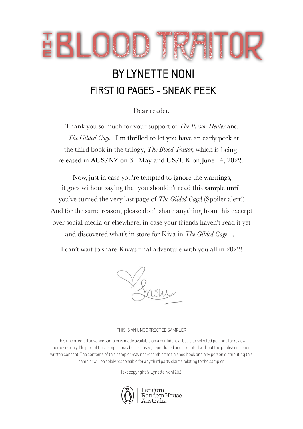# EBLUUIKAIIUR

## BY LYNETTE NONI BY LYNETTE NONIFIRST 10 PAGES - SNEAK PEEK

Dear reader,

Thank you so much for your support of *The Prison Healer* and The Gilded Cage! I'm thrilled to let you have an early peek at the third book in the trilogy, *The Blood Traitor*, which is being released in AUS/NZ on 31 May and US/UK on June 14, 2022.

Now, just in case you're tempted to ignore the warnings, it goes without saying that you shouldn't read this sample until you've turned the very last page of *The Gilded Cage*! (Spoiler alert!) And for the same reason, please don't share anything from this excerpt over social media or elsewhere, in case your friends haven't read it yet and discovered what's in store for Kiva in *The Gilded Cage* . . .

I can't wait to share Kiva's final adventure with you all in 2022!

#### THIS IS AN UNCORRECTED SAMPLER

This uncorrected advance sampler is made available on a confidential basis to selected persons for review purposes only. No part of this sampler may be disclosed, reproduced or distributed without the publisher's prior, written consent. The contents of this sampler may not resemble the finished book and any person distributing this sampler will be solely responsible for any third party claims relating to the sampler.

Text copyright © Lynette Noni 2021



Penguin<br>Random House Australia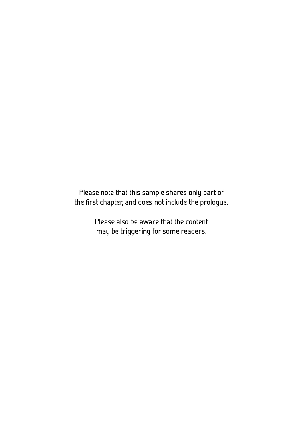Please note that this sample shares only part of the first chapter, and does not include the prologue.

> Please also be aware that the content may be triggering for some readers.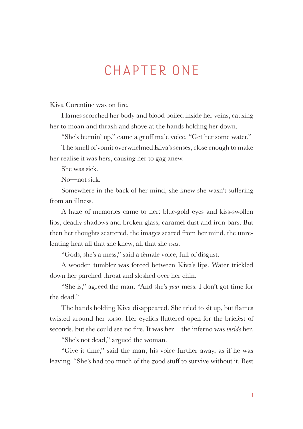## CHAPTER ONE

Kiva Corentine was on fire.

Flames scorched her body and blood boiled inside her veins, causing her to moan and thrash and shove at the hands holding her down.

"She's burnin' up," came a gruff male voice. "Get her some water."

The smell of vomit overwhelmed Kiva's senses, close enough to make her realise it was hers, causing her to gag anew.

She was sick.

No—not sick.

Somewhere in the back of her mind, she knew she wasn't suffering from an illness.

A haze of memories came to her: blue-gold eyes and kiss-swollen lips, deadly shadows and broken glass, caramel dust and iron bars. But then her thoughts scattered, the images seared from her mind, the unrelenting heat all that she knew, all that she *was*.

"Gods, she's a mess," said a female voice, full of disgust.

A wooden tumbler was forced between Kiva's lips. Water trickled down her parched throat and sloshed over her chin.

"She is," agreed the man. "And she's *your* mess. I don't got time for the dead."

The hands holding Kiva disappeared. She tried to sit up, but flames twisted around her torso. Her eyelids fluttered open for the briefest of seconds, but she could see no fire. It was her—the inferno was *inside* her.

"She's not dead," argued the woman.

"Give it time," said the man, his voice further away, as if he was leaving. "She's had too much of the good stuff to survive without it. Best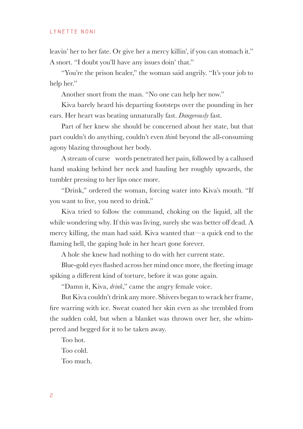leavin' her to her fate. Or give her a mercy killin', if you can stomach it." A snort. "I doubt you'll have any issues doin' that."

"You're the prison healer," the woman said angrily. "It's your job to help her."

Another snort from the man. "No one can help her now."

Kiva barely heard his departing footsteps over the pounding in her ears. Her heart was beating unnaturally fast. *Dangerously* fast.

Part of her knew she should be concerned about her state, but that part couldn't do anything, couldn't even *think* beyond the all-consuming agony blazing throughout her body.

A stream of curse words penetrated her pain, followed by a callused hand snaking behind her neck and hauling her roughly upwards, the tumbler pressing to her lips once more.

"Drink," ordered the woman, forcing water into Kiva's mouth. "If you want to live, you need to drink."

Kiva tried to follow the command, choking on the liquid, all the while wondering why. If this was living, surely she was better off dead. A mercy killing, the man had said. Kiva wanted that—a quick end to the flaming hell, the gaping hole in her heart gone forever.

A hole she knew had nothing to do with her current state.

Blue-gold eyes flashed across her mind once more, the fleeting image spiking a different kind of torture, before it was gone again.

"Damn it, Kiva, *drink*," came the angry female voice.

But Kiva couldn't drink any more. Shivers began to wrack her frame, fire warring with ice. Sweat coated her skin even as she trembled from the sudden cold, but when a blanket was thrown over her, she whimpered and begged for it to be taken away.

Too hot.

Too cold.

Too much.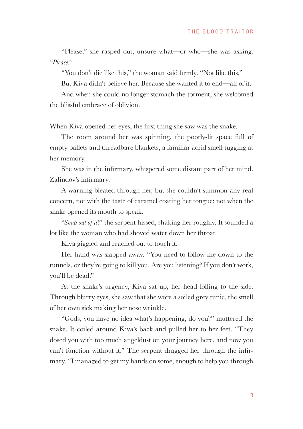"Please," she rasped out, unsure what—or who—she was asking. "*Please*."

"You don't die like this," the woman said firmly. "Not like this."

But Kiva didn't believe her. Because she wanted it to end—all of it.

And when she could no longer stomach the torment, she welcomed the blissful embrace of oblivion.

When Kiva opened her eyes, the first thing she saw was the snake.

The room around her was spinning, the poorly-lit space full of empty pallets and threadbare blankets, a familiar acrid smell tugging at her memory.

She was in the infirmary, whispered some distant part of her mind. Zalindov's infirmary.

A warning bleated through her, but she couldn't summon any real concern, not with the taste of caramel coating her tongue; not when the snake opened its mouth to speak.

"*Snap out of it*!" the serpent hissed, shaking her roughly. It sounded a lot like the woman who had shoved water down her throat.

Kiva giggled and reached out to touch it.

Her hand was slapped away. "You need to follow me down to the tunnels, or they're going to kill you. Are you listening? If you don't work, you'll be dead."

At the snake's urgency, Kiva sat up, her head lolling to the side. Through blurry eyes, she saw that she wore a soiled grey tunic, the smell of her own sick making her nose wrinkle.

"Gods, you have no idea what's happening, do you?" muttered the snake. It coiled around Kiva's back and pulled her to her feet. "They dosed you with too much angeldust on your journey here, and now you can't function without it." The serpent dragged her through the infirmary. "I managed to get my hands on some, enough to help you through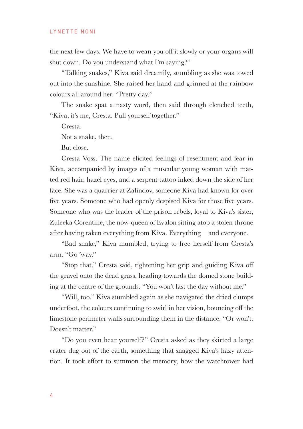the next few days. We have to wean you off it slowly or your organs will shut down. Do you understand what I'm saying?"

"Talking snakes," Kiva said dreamily, stumbling as she was towed out into the sunshine. She raised her hand and grinned at the rainbow colours all around her. "Pretty day."

The snake spat a nasty word, then said through clenched teeth, "Kiva, it's me, Cresta. Pull yourself together."

Cresta.

Not a snake, then.

But close.

Cresta Voss. The name elicited feelings of resentment and fear in Kiva, accompanied by images of a muscular young woman with matted red hair, hazel eyes, and a serpent tattoo inked down the side of her face. She was a quarrier at Zalindov, someone Kiva had known for over five years. Someone who had openly despised Kiva for those five years. Someone who was the leader of the prison rebels, loyal to Kiva's sister, Zuleeka Corentine, the now-queen of Evalon sitting atop a stolen throne after having taken everything from Kiva. Everything—and everyone.

"Bad snake," Kiva mumbled, trying to free herself from Cresta's arm. "Go 'way."

"Stop that," Cresta said, tightening her grip and guiding Kiva off the gravel onto the dead grass, heading towards the domed stone building at the centre of the grounds. "You won't last the day without me."

"Will, too." Kiva stumbled again as she navigated the dried clumps underfoot, the colours continuing to swirl in her vision, bouncing off the limestone perimeter walls surrounding them in the distance. "Or won't. Doesn't matter."

"Do you even hear yourself?" Cresta asked as they skirted a large crater dug out of the earth, something that snagged Kiva's hazy atten tion. It took effort to summon the memory, how the watchtower had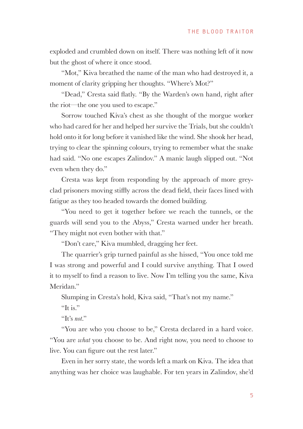exploded and crumbled down on itself. There was nothing left of it now but the ghost of where it once stood.

"Mot," Kiva breathed the name of the man who had destroyed it, a moment of clarity gripping her thoughts. "Where's Mot?"

"Dead," Cresta said flatly. "By the Warden's own hand, right after the riot—the one you used to escape."

Sorrow touched Kiva's chest as she thought of the morgue worker who had cared for her and helped her survive the Trials, but she couldn't hold onto it for long before it vanished like the wind. She shook her head, trying to clear the spinning colours, trying to remember what the snake had said. "No one escapes Zalindov." A manic laugh slipped out. "Not even when they do."

Cresta was kept from responding by the approach of more greyclad prisoners moving stiffly across the dead field, their faces lined with fatigue as they too headed towards the domed building.

"You need to get it together before we reach the tunnels, or the guards will send you to the Abyss," Cresta warned under her breath. "They might not even bother with that."

"Don't care," Kiva mumbled, dragging her feet.

The quarrier's grip turned painful as she hissed, "You once told me I was strong and powerful and I could survive anything. That I owed it to myself to find a reason to live. Now I'm telling you the same, Kiva Meridan."

Slumping in Cresta's hold, Kiva said, "That's not my name."

"It is."

"It's *not*."

"You are who you choose to be," Cresta declared in a hard voice. "You are *what* you choose to be. And right now, you need to choose to live. You can figure out the rest later."

Even in her sorry state, the words left a mark on Kiva. The idea that anything was her choice was laughable. For ten years in Zalindov, she'd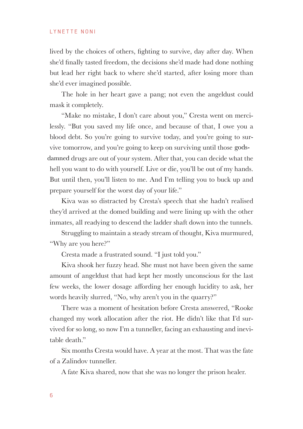lived by the choices of others, fighting to survive, day after day. When  $sh$ e'd finally tasted freedom, the decisions  $sh$ e'd made had done nothing but lead her right back to where she'd started, after losing more than she'd ever imagined possible.

The hole in her heart gave a pang; not even the angeldust could mask it completely.

"Make no mistake, I don't care about you," Cresta went on mercilessly. "But you saved my life once, and because of that, I owe you a blood debt. So you're going to survive today, and you're going to survive tomorrow, and you're going to keep on surviving until those godsdamned drugs are out of your system. After that, you can decide what the hell you want to do with yourself. Live or die, you'll be out of my hands. But until then, you'll listen to me. And I'm telling you to buck up and prepare yourself for the worst day of your life."

Kiva was so distracted by Cresta's speech that she hadn't realised they'd arrived at the domed building and were lining up with the other inmates, all readying to descend the ladder shaft down into the tunnels.

Struggling to maintain a steady stream of thought, Kiva murmured, "Why are you here?"

Cresta made a frustrated sound. "I just told you."

Kiva shook her fuzzy head. She must not have been given the same amount of angeldust that had kept her mostly unconscious for the last few weeks, the lower dosage affording her enough lucidity to ask, her words heavily slurred, "No, why aren't you in the quarry?"

There was a moment of hesitation before Cresta answered, "Rooke changed my work allocation after the riot. He didn't like that I'd survived for so long, so now I'm a tunneller, facing an exhausting and inevitable death."

Six months Cresta would have. A year at the most. That was the fate of a Zalindov tunneller.

A fate Kiva shared, now that she was no longer the prison healer.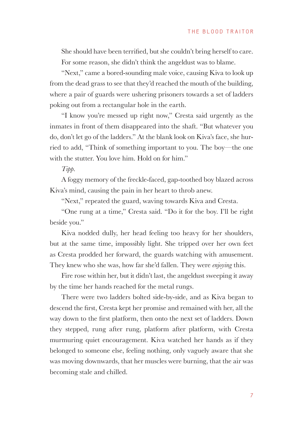She should have been terrified, but she couldn't bring herself to care. For some reason, she didn't think the angeldust was to blame.

"Next," came a bored-sounding male voice, causing Kiva to look up from the dead grass to see that they'd reached the mouth of the building, where a pair of guards were ushering prisoners towards a set of ladders poking out from a rectangular hole in the earth.

"I know you're messed up right now," Cresta said urgently as the inmates in front of them disappeared into the shaft. "But whatever you do, don't let go of the ladders." At the blank look on Kiva's face, she hurried to add, "Think of something important to you. The boy—the one with the stutter. You love him. Hold on for him."

*Tipp*.

A foggy memory of the freckle-faced, gap-toothed boy blazed across Kiva's mind, causing the pain in her heart to throb anew.

"Next," repeated the guard, waving towards Kiva and Cresta.

"One rung at a time," Cresta said. "Do it for the boy. I'll be right beside you."

Kiva nodded dully, her head feeling too heavy for her shoulders, but at the same time, impossibly light. She tripped over her own feet as Cresta prodded her forward, the guards watching with amusement. They knew who she was, how far she'd fallen. They were *enjoying* this.

Fire rose within her, but it didn't last, the angeldust sweeping it away by the time her hands reached for the metal rungs.

There were two ladders bolted side-by-side, and as Kiva began to descend the first, Cresta kept her promise and remained with her, all the way down to the first platform, then onto the next set of ladders. Down they stepped, rung after rung, platform after platform, with Cresta murmuring quiet encouragement. Kiva watched her hands as if they belonged to someone else, feeling nothing, only vaguely aware that she was moving downwards, that her muscles were burning, that the air was becoming stale and chilled.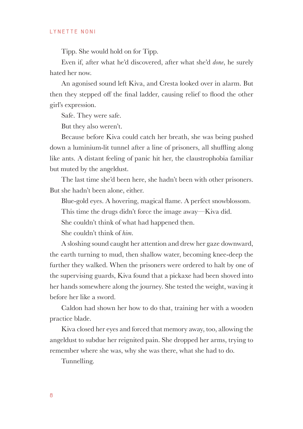Tipp. She would hold on for Tipp.

Even if, after what he'd discovered, after what she'd *done*, he surely hated her now.

An agonised sound left Kiva, and Cresta looked over in alarm. But then they stepped off the final ladder, causing relief to flood the other girl's expression.

Safe. They were safe.

But they also weren't.

Because before Kiva could catch her breath, she was being pushed down a luminium-lit tunnel after a line of prisoners, all shuffling along like ants. A distant feeling of panic hit her, the claustrophobia familiar but muted by the angeldust.

The last time she'd been here, she hadn't been with other prisoners. But she hadn't been alone, either.

Blue-gold eyes. A hovering, magical flame. A perfect snowblossom.

This time the drugs didn't force the image away—Kiva did.

She couldn't think of what had happened then.

She couldn't think of *him*.

A sloshing sound caught her attention and drew her gaze downward, the earth turning to mud, then shallow water, becoming knee-deep the further they walked. When the prisoners were ordered to halt by one of the supervising guards, Kiva found that a pickaxe had been shoved into her hands somewhere along the journey. She tested the weight, waving it before her like a sword.

Caldon had shown her how to do that, training her with a wooden practice blade.

Kiva closed her eyes and forced that memory away, too, allowing the angeldust to subdue her reignited pain. She dropped her arms, trying to remember where she was, why she was there, what she had to do.

Tunnelling.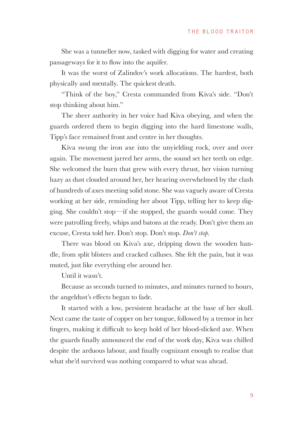She was a tunneller now, tasked with digging for water and creating passageways for it to flow into the aquifer.

It was the worst of Zalindov's work allocations. The hardest, both physically and mentally. The quickest death.

"Think of the boy," Cresta commanded from Kiva's side. "Don't stop thinking about him."

The sheer authority in her voice had Kiva obeying, and when the guards ordered them to begin digging into the hard limestone walls, Tipp's face remained front and centre in her thoughts.

Kiva swung the iron axe into the unyielding rock, over and over again. The movement jarred her arms, the sound set her teeth on edge. She welcomed the burn that grew with every thrust, her vision turning hazy as dust clouded around her, her hearing overwhelmed by the clash of hundreds of axes meeting solid stone. She was vaguely aware of Cresta working at her side, reminding her about Tipp, telling her to keep digging. She couldn't stop—if she stopped, the guards would come. They were patrolling freely, whips and batons at the ready. Don't give them an excuse, Cresta told her. Don't stop. Don't stop. *Don't stop*.

There was blood on Kiva's axe, dripping down the wooden handle, from split blisters and cracked calluses. She felt the pain, but it was muted, just like everything else around her.

Until it wasn't.

Because as seconds turned to minutes, and minutes turned to hours, the angeldust's effects began to fade.

It started with a low, persistent headache at the base of her skull. Next came the taste of copper on her tongue, followed by a tremor in her fingers, making it difficult to keep hold of her blood-slicked axe. When the guards finally announced the end of the work day, Kiva was chilled despite the arduous labour, and finally cognizant enough to realise that what she'd survived was nothing compared to what was ahead.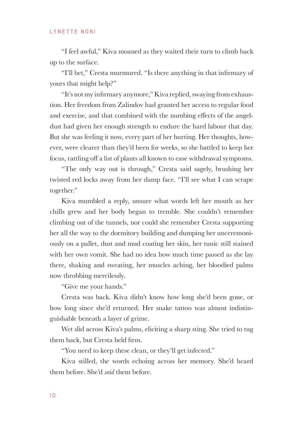"I feel awful," Kiva moaned as they waited their turn to climb back up to the surface.

"I'll bet," Cresta murmured. "Is there anything in that infirmary of yours that might help?"

"It's not my infirmary anymore," Kiva replied, swaying from exhaustion. Her freedom from Zalindov had granted her access to regular food and exercise, and that combined with the numbing effects of the angeldust had given her enough strength to endure the hard labour that day. But she was feeling it now, every part of her hurting. Her thoughts, however, were clearer than they'd been for weeks, so she battled to keep her focus, rattling off a list of plants all known to ease withdrawal symptoms.

"The only way out is through," Cresta said sagely, brushing her twisted red locks away from her damp face. "I'll see what I can scrape together."

Kiva mumbled a reply, unsure what words left her mouth as her chills grew and her body began to tremble. She couldn't remember climbing out of the tunnels, nor could she remember Cresta supporting her all the way to the dormitory building and dumping her unceremoniously on a pallet, dust and mud coating her skin, her tunic still stained with her own vomit. She had no idea how much time passed as she lay there, shaking and sweating, her muscles aching, her bloodied palms now throbbing mercilessly.

"Give me your hands."

Cresta was back. Kiva didn't know how long she'd been gone, or how long since she'd returned. Her snake tattoo was almost indistinguishable beneath a layer of grime.

Wet slid across Kiva's palms, eliciting a sharp sting. She tried to tug them back, but Cresta held firm.

"You need to keep these clean, or they'll get infected."

Kiva stilled, the words echoing across her memory. She'd heard them before. She'd *said* them before.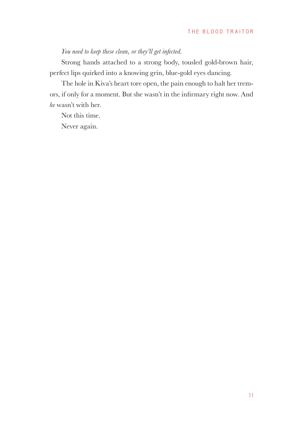### *You need to keep these clean, or they'll get infected.*

Strong hands attached to a strong body, tousled gold-brown hair, perfect lips quirked into a knowing grin, blue-gold eyes dancing.

The hole in Kiva's heart tore open, the pain enough to halt her tremors, if only for a moment. But she wasn't in the infirmary right now. And *he* wasn't with her.

Not this time.

Never again.